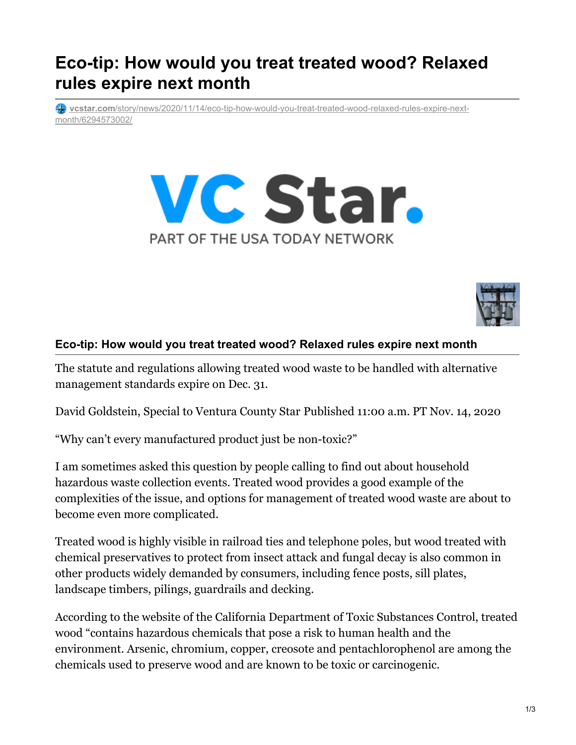## **Eco-tip: How would you treat treated wood? Relaxed rules expire next month**

**vcstar.com**[/story/news/2020/11/14/eco-tip-how-would-you-treat-treated-wood-relaxed-rules-expire-next](https://www.vcstar.com/story/news/2020/11/14/eco-tip-how-would-you-treat-treated-wood-relaxed-rules-expire-next-month/6294573002/)month/6294573002/





## **Eco-tip: How would you treat treated wood? Relaxed rules expire next month**

The statute and regulations allowing treated wood waste to be handled with alternative management standards expire on Dec. 31.

David Goldstein, Special to Ventura County Star Published 11:00 a.m. PT Nov. 14, 2020

"Why can't every manufactured product just be non-toxic?"

I am sometimes asked this question by people calling to find out about household hazardous waste collection events. Treated wood provides a good example of the complexities of the issue, and options for management of treated wood waste are about to become even more complicated.

Treated wood is highly visible in railroad ties and telephone poles, but wood treated with chemical preservatives to protect from insect attack and fungal decay is also common in other products widely demanded by consumers, including fence posts, sill plates, landscape timbers, pilings, guardrails and decking.

According to the website of the California Department of Toxic Substances Control, treated wood "contains hazardous chemicals that pose a risk to human health and the environment. Arsenic, chromium, copper, creosote and pentachlorophenol are among the chemicals used to preserve wood and are known to be toxic or carcinogenic.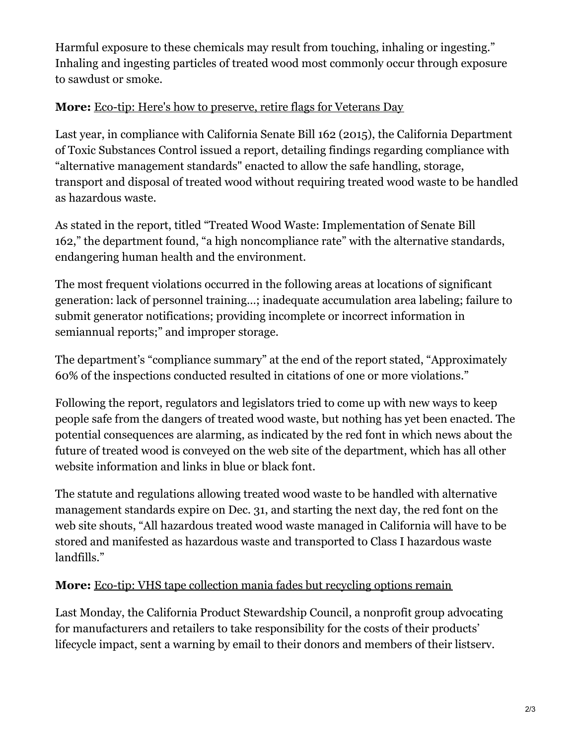Harmful exposure to these chemicals may result from touching, inhaling or ingesting." Inhaling and ingesting particles of treated wood most commonly occur through exposure to sawdust or smoke.

## **More:** Eco-tip: Here's how to [preserve,](https://www.vcstar.com/story/news/2020/11/07/eco-tips-preserve-retire-flags-veterans-day-2020-ventura-county/6197405002/) retire flags for Veterans Day

Last year, in compliance with California Senate Bill 162 (2015), the California Department of Toxic Substances Control issued a report, detailing findings regarding compliance with "alternative management standards" enacted to allow the safe handling, storage, transport and disposal of treated wood without requiring treated wood waste to be handled as hazardous waste.

As stated in the report, titled "Treated Wood Waste: Implementation of Senate Bill 162," the department found, "a high noncompliance rate" with the alternative standards, endangering human health and the environment.

The most frequent violations occurred in the following areas at locations of significant generation: lack of personnel training…; inadequate accumulation area labeling; failure to submit generator notifications; providing incomplete or incorrect information in semiannual reports;" and improper storage.

The department's "compliance summary" at the end of the report stated, "Approximately 60% of the inspections conducted resulted in citations of one or more violations."

Following the report, regulators and legislators tried to come up with new ways to keep people safe from the dangers of treated wood waste, but nothing has yet been enacted. The potential consequences are alarming, as indicated by the red font in which news about the future of treated wood is conveyed on the web site of the department, which has all other website information and links in blue or black font.

The statute and regulations allowing treated wood waste to be handled with alternative management standards expire on Dec. 31, and starting the next day, the red font on the web site shouts, "All hazardous treated wood waste managed in California will have to be stored and manifested as hazardous waste and transported to Class I hazardous waste landfills."

## **More:** Eco-tip: VHS tape [collection](https://www.vcstar.com/story/news/2020/10/31/vhs-tape-recylcing-callifornia-ebay-movies-cassettes/6096640002/) mania fades but recycling options remain

Last Monday, the California Product Stewardship Council, a nonprofit group advocating for manufacturers and retailers to take responsibility for the costs of their products' lifecycle impact, sent a warning by email to their donors and members of their listserv.